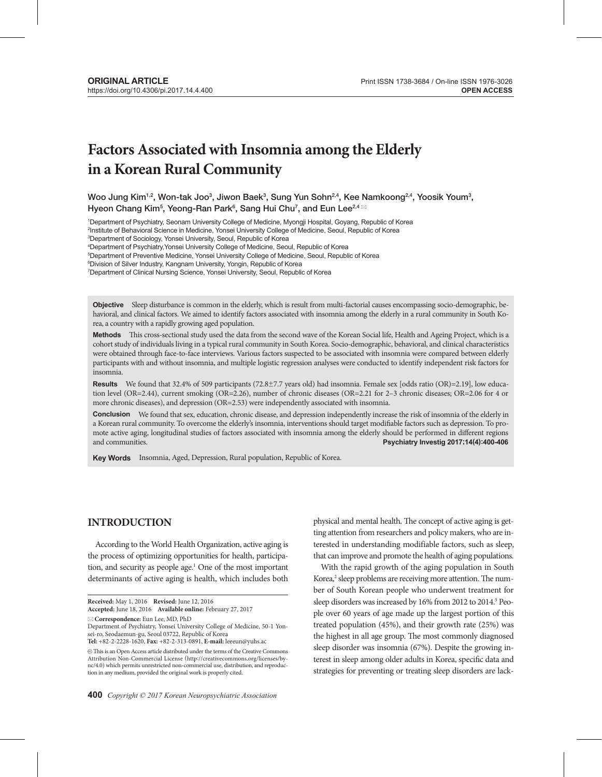# **Factors Associated with Insomnia among the Elderly in a Korean Rural Community**

Woo Jung Kim $^{1,2}$ , Won-tak Joo $^3$ , Jiwon Baek $^3$ , Sung Yun Sohn $^{2,4}$ , Kee Namkoong $^{2,4}$ , Yoosik Youm $^3,$ Hyeon Chang Kim<sup>5</sup>, Yeong-Ran Park<sup>6</sup>, Sang Hui Chu<sup>7</sup>, and Eun Lee<sup>2,4 ⊠</sup>

1 Department of Psychiatry, Seonam University College of Medicine, Myongji Hospital, Goyang, Republic of Korea

2 Institute of Behavioral Science in Medicine, Yonsei University College of Medicine, Seoul, Republic of Korea

3 Department of Sociology, Yonsei University, Seoul, Republic of Korea

4 Department of Psychiatry,Yonsei University College of Medicine, Seoul, Republic of Korea

5 Department of Preventive Medicine, Yonsei University College of Medicine, Seoul, Republic of Korea

6 Division of Silver Industry, Kangnam University, Yongin, Republic of Korea

7 Department of Clinical Nursing Science, Yonsei University, Seoul, Republic of Korea

**Objective** Sleep disturbance is common in the elderly, which is result from multi-factorial causes encompassing socio-demographic, behavioral, and clinical factors. We aimed to identify factors associated with insomnia among the elderly in a rural community in South Korea, a country with a rapidly growing aged population.

Methods This cross-sectional study used the data from the second wave of the Korean Social life, Health and Ageing Project, which is a cohort study of individuals living in a typical rural community in South Korea. Socio-demographic, behavioral, and clinical characteristics were obtained through face-to-face interviews. Various factors suspected to be associated with insomnia were compared between elderly participants with and without insomnia, and multiple logistic regression analyses were conducted to identify independent risk factors for insomnia.

**Results** We found that 32.4% of 509 participants (72.8±7.7 years old) had insomnia. Female sex [odds ratio (OR)=2.19], low education level (OR=2.44), current smoking (OR=2.26), number of chronic diseases (OR=2.21 for 2–3 chronic diseases; OR=2.06 for 4 or more chronic diseases), and depression (OR=2.53) were independently associated with insomnia.

**Conclusion** We found that sex, education, chronic disease, and depression independently increase the risk of insomnia of the elderly in a Korean rural community. To overcome the elderly's insomnia, interventions should target modifiable factors such as depression. To promote active aging, longitudinal studies of factors associated with insomnia among the elderly should be performed in different regions and communities. **Psychiatry Investig 2017;14(4):400-406**

**Key Words** Insomnia, Aged, Depression, Rural population, Republic of Korea.

## **INTRODUCTION**

According to the World Health Organization, active aging is the process of optimizing opportunities for health, participation, and security as people age.<sup>1</sup> One of the most important determinants of active aging is health, which includes both

**Received:** May 1, 2016 **Revised:** June 12, 2016 **Accepted:** June 18, 2016 **Available online:** February 27, 2017

**Correspondence:** Eun Lee, MD, PhD

physical and mental health. The concept of active aging is getting attention from researchers and policy makers, who are interested in understanding modifiable factors, such as sleep, that can improve and promote the health of aging populations.

With the rapid growth of the aging population in South Korea,<sup>2</sup> sleep problems are receiving more attention. The number of South Korean people who underwent treatment for sleep disorders was increased by 16% from 2012 to 2014.<sup>3</sup> People over 60 years of age made up the largest portion of this treated population (45%), and their growth rate (25%) was the highest in all age group. The most commonly diagnosed sleep disorder was insomnia (67%). Despite the growing interest in sleep among older adults in Korea, specific data and strategies for preventing or treating sleep disorders are lack-

Department of Psychiatry, Yonsei University College of Medicine, 50-1 Yonsei-ro, Seodaemun-gu, Seoul 03722, Republic of Korea

**Tel:** +82-2-2228-1620, **Fax:** +82-2-313-0891, **E-mail:** leeeun@yuhs.ac

cc This is an Open Access article distributed under the terms of the Creative Commons Attribution Non-Commercial License (http://creativecommons.org/licenses/bync/4.0) which permits unrestricted non-commercial use, distribution, and reproduction in any medium, provided the original work is properly cited.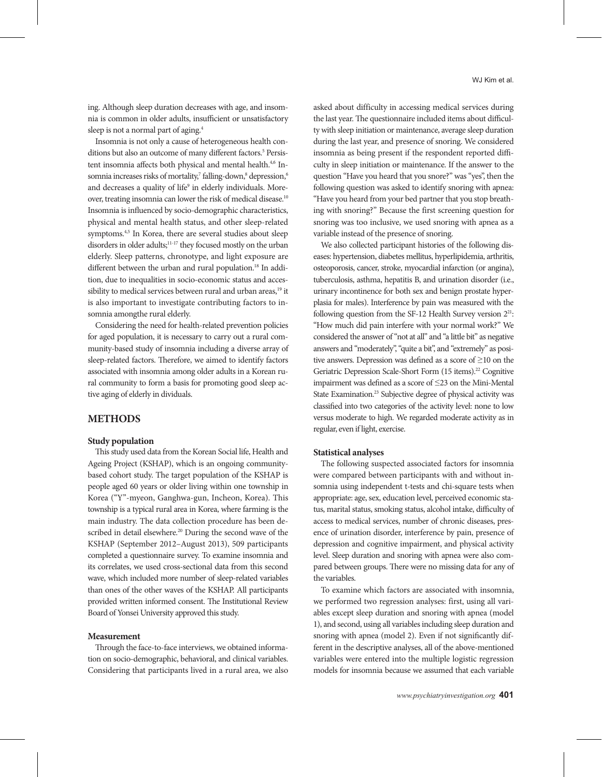ing. Although sleep duration decreases with age, and insomnia is common in older adults, insufficient or unsatisfactory sleep is not a normal part of aging.<sup>4</sup>

Insomnia is not only a cause of heterogeneous health conditions but also an outcome of many different factors.<sup>5</sup> Persistent insomnia affects both physical and mental health.<sup>4,6</sup> Insomnia increases risks of mortality, $^7$  falling-down, $^8$  depression, $^6$ and decreases a quality of life<sup>9</sup> in elderly individuals. Moreover, treating insomnia can lower the risk of medical disease.10 Insomnia is influenced by socio-demographic characteristics, physical and mental health status, and other sleep-related symptoms.<sup>4,5</sup> In Korea, there are several studies about sleep disorders in older adults;<sup>11-17</sup> they focused mostly on the urban elderly. Sleep patterns, chronotype, and light exposure are different between the urban and rural population.<sup>18</sup> In addition, due to inequalities in socio-economic status and accessibility to medical services between rural and urban areas,<sup>19</sup> it is also important to investigate contributing factors to insomnia amongthe rural elderly.

Considering the need for health-related prevention policies for aged population, it is necessary to carry out a rural community-based study of insomnia including a diverse array of sleep-related factors. Therefore, we aimed to identify factors associated with insomnia among older adults in a Korean rural community to form a basis for promoting good sleep active aging of elderly in dividuals.

## **METHODS**

#### **Study population**

This study used data from the Korean Social life, Health and Ageing Project (KSHAP), which is an ongoing communitybased cohort study. The target population of the KSHAP is people aged 60 years or older living within one township in Korea ("Y"-myeon, Ganghwa-gun, Incheon, Korea). This township is a typical rural area in Korea, where farming is the main industry. The data collection procedure has been described in detail elsewhere.<sup>20</sup> During the second wave of the KSHAP (September 2012–August 2013), 509 participants completed a questionnaire survey. To examine insomnia and its correlates, we used cross-sectional data from this second wave, which included more number of sleep-related variables than ones of the other waves of the KSHAP. All participants provided written informed consent. The Institutional Review Board of Yonsei University approved this study.

### **Measurement**

Through the face-to-face interviews, we obtained information on socio-demographic, behavioral, and clinical variables. Considering that participants lived in a rural area, we also asked about difficulty in accessing medical services during the last year. The questionnaire included items about difficulty with sleep initiation or maintenance, average sleep duration during the last year, and presence of snoring. We considered insomnia as being present if the respondent reported difficulty in sleep initiation or maintenance. If the answer to the question "Have you heard that you snore?" was "yes", then the following question was asked to identify snoring with apnea: "Have you heard from your bed partner that you stop breathing with snoring?" Because the first screening question for snoring was too inclusive, we used snoring with apnea as a variable instead of the presence of snoring.

We also collected participant histories of the following diseases: hypertension, diabetes mellitus, hyperlipidemia, arthritis, osteoporosis, cancer, stroke, myocardial infarction (or angina), tuberculosis, asthma, hepatitis B, and urination disorder (i.e., urinary incontinence for both sex and benign prostate hyperplasia for males). Interference by pain was measured with the following question from the SF-12 Health Survey version  $2^{21}$ : "How much did pain interfere with your normal work?" We considered the answer of "not at all" and "a little bit" as negative answers and "moderately", "quite a bit", and "extremely" as positive answers. Depression was defined as a score of ≥10 on the Geriatric Depression Scale-Short Form (15 items).<sup>22</sup> Cognitive impairment was defined as a score of ≤23 on the Mini-Mental State Examination.<sup>23</sup> Subjective degree of physical activity was classified into two categories of the activity level: none to low versus moderate to high. We regarded moderate activity as in regular, even if light, exercise.

#### **Statistical analyses**

The following suspected associated factors for insomnia were compared between participants with and without insomnia using independent t-tests and chi-square tests when appropriate: age, sex, education level, perceived economic status, marital status, smoking status, alcohol intake, difficulty of access to medical services, number of chronic diseases, presence of urination disorder, interference by pain, presence of depression and cognitive impairment, and physical activity level. Sleep duration and snoring with apnea were also compared between groups. There were no missing data for any of the variables.

To examine which factors are associated with insomnia, we performed two regression analyses: first, using all variables except sleep duration and snoring with apnea (model 1), and second, using all variables including sleep duration and snoring with apnea (model 2). Even if not significantly different in the descriptive analyses, all of the above-mentioned variables were entered into the multiple logistic regression models for insomnia because we assumed that each variable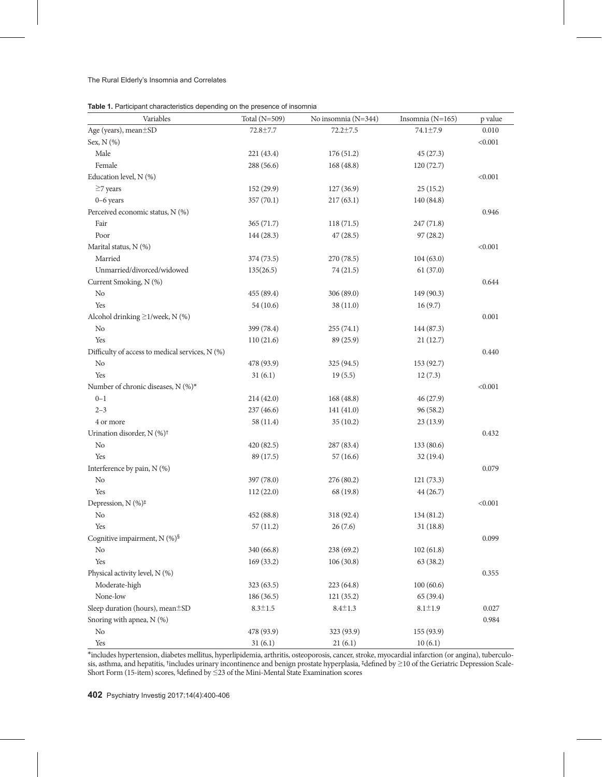| Variables                                         | Total (N=509) | No insomnia (N=344) | Insomnia (N=165) | p value |
|---------------------------------------------------|---------------|---------------------|------------------|---------|
| Age (years), mean±SD                              | 72.8±7.7      | $72.2 \pm 7.5$      | 74.1±7.9         | 0.010   |
| Sex, N (%)                                        |               |                     |                  | < 0.001 |
| Male                                              | 221 (43.4)    | 176(51.2)           | 45(27.3)         |         |
| Female                                            | 288 (56.6)    | 168 (48.8)          | 120(72.7)        |         |
| Education level, N (%)                            |               |                     |                  | < 0.001 |
| $\geq$ 7 years                                    | 152 (29.9)    | 127 (36.9)          | 25(15.2)         |         |
| $0-6$ years                                       | 357 (70.1)    | 217(63.1)           | 140 (84.8)       |         |
| Perceived economic status, N (%)                  |               |                     |                  | 0.946   |
| Fair                                              | 365(71.7)     | 118(71.5)           | 247 (71.8)       |         |
| Poor                                              | 144 (28.3)    | 47(28.5)            | 97(28.2)         |         |
| Marital status, N (%)                             |               |                     |                  | < 0.001 |
| Married                                           | 374 (73.5)    | 270 (78.5)          | 104(63.0)        |         |
| Unmarried/divorced/widowed                        | 135(26.5)     | 74 (21.5)           | 61(37.0)         |         |
| Current Smoking, N (%)                            |               |                     |                  | 0.644   |
| No                                                | 455 (89.4)    | 306 (89.0)          | 149 (90.3)       |         |
| Yes                                               | 54(10.6)      | 38 (11.0)           | 16(9.7)          |         |
| Alcohol drinking $\geq$ 1/week, N (%)             |               |                     |                  | 0.001   |
| No                                                | 399 (78.4)    | 255(74.1)           | 144 (87.3)       |         |
| Yes                                               | 110(21.6)     | 89 (25.9)           | 21(12.7)         |         |
| Difficulty of access to medical services, N (%)   |               |                     |                  | 0.440   |
| No                                                | 478 (93.9)    | 325 (94.5)          | 153 (92.7)       |         |
| Yes                                               | 31(6.1)       | 19(5.5)             | 12(7.3)          |         |
| Number of chronic diseases, N (%)*                |               |                     |                  | < 0.001 |
| $0 - 1$                                           | 214 (42.0)    | 168 (48.8)          | 46(27.9)         |         |
| $2 - 3$                                           | 237 (46.6)    | 141 (41.0)          | 96 (58.2)        |         |
| 4 or more                                         | 58 (11.4)     | 35(10.2)            | 23(13.9)         |         |
| Urination disorder, N (%) <sup>†</sup>            |               |                     |                  | 0.432   |
| No                                                | 420 (82.5)    | 287 (83.4)          | 133 (80.6)       |         |
| Yes                                               | 89 (17.5)     | 57(16.6)            | 32(19.4)         |         |
| Interference by pain, N (%)                       |               |                     |                  | 0.079   |
| No                                                | 397 (78.0)    | 276 (80.2)          | 121(73.3)        |         |
| Yes                                               | 112(22.0)     | 68 (19.8)           | 44 (26.7)        |         |
| Depression, $N$ (%) <sup><math>\ddag</math></sup> |               |                     |                  | < 0.001 |
| $\rm No$                                          | 452 (88.8)    | 318 (92.4)          | 134 (81.2)       |         |
| Yes                                               | 57(11.2)      | 26(7.6)             | 31(18.8)         |         |
| Cognitive impairment, N (%)§                      |               |                     |                  | 0.099   |
| No                                                | 340 (66.8)    | 238 (69.2)          | 102(61.8)        |         |
| Yes                                               | 169(33.2)     | 106(30.8)           | 63(38.2)         |         |
| Physical activity level, N (%)                    |               |                     |                  | 0.355   |
| Moderate-high                                     | 323(63.5)     | 223 (64.8)          | 100(60.6)        |         |
| None-low                                          | 186 (36.5)    | 121(35.2)           | 65 (39.4)        |         |
| Sleep duration (hours), mean±SD                   | $8.3 \pm 1.5$ | $8.4 \pm 1.3$       | $8.1 \pm 1.9$    | 0.027   |
| Snoring with apnea, N (%)                         |               |                     |                  | 0.984   |
| $\rm No$                                          | 478 (93.9)    | 323 (93.9)          | 155 (93.9)       |         |
| Yes                                               | 31(6.1)       | 21(6.1)             | 10(6.1)          |         |

\*includes hypertension, diabetes mellitus, hyperlipidemia, arthritis, osteoporosis, cancer, stroke, myocardial infarction (or angina), tuberculosis, asthma, and hepatitis, †includes urinary incontinence and benign prostate hyperplasia, ‡defined by ≥10 of the Geriatric Depression Scale-Short Form (15-item) scores, §defined by ≤23 of the Mini-Mental State Examination scores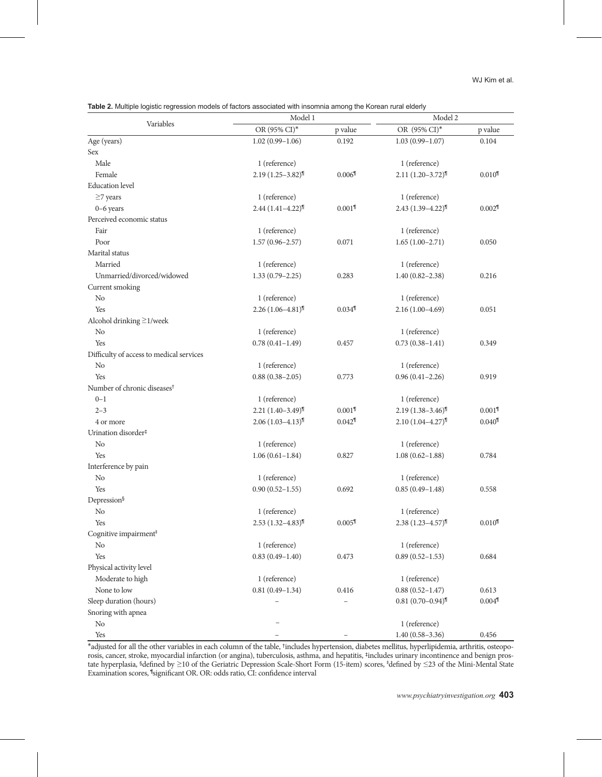**Table 2.** Multiple logistic regression models of factors associated with insomnia among the Korean rural elderly

| Variables                                | Model 1                             |                      | Model 2                        |                                    |
|------------------------------------------|-------------------------------------|----------------------|--------------------------------|------------------------------------|
|                                          | OR (95% CI)*                        | p value              | OR (95% CI)*                   | p value                            |
| Age (years)                              | $1.02(0.99-1.06)$                   | 0.192                | $1.03(0.99 - 1.07)$            | 0.104                              |
| Sex                                      |                                     |                      |                                |                                    |
| Male                                     | 1 (reference)                       |                      | 1 (reference)                  |                                    |
| Female                                   | $2.19(1.25 - 3.82)$                 | $0.006$ <sup>1</sup> | $2.11(1.20-3.72)$              | $0.010$ <sup></sup>                |
| <b>Education</b> level                   |                                     |                      |                                |                                    |
| $\geq$ 7 years                           | 1 (reference)                       |                      | 1 (reference)                  |                                    |
| $0-6$ years                              | $2.44(1.41 - 4.22)^{T}$             | $0.001$ <sup>1</sup> | $2.43(1.39 - 4.22)$            | $0.002$ <sup><math>\P</math></sup> |
| Perceived economic status                |                                     |                      |                                |                                    |
| Fair                                     | 1 (reference)                       |                      | 1 (reference)                  |                                    |
| Poor                                     | $1.57(0.96 - 2.57)$                 | 0.071                | $1.65(1.00-2.71)$              | 0.050                              |
| Marital status                           |                                     |                      |                                |                                    |
| Married                                  | 1 (reference)                       |                      | 1 (reference)                  |                                    |
| Unmarried/divorced/widowed               | $1.33(0.79 - 2.25)$                 | 0.283                | $1.40(0.82 - 2.38)$            | 0.216                              |
| Current smoking                          |                                     |                      |                                |                                    |
| N <sub>o</sub>                           | 1 (reference)                       |                      | 1 (reference)                  |                                    |
| Yes                                      | $2.26(1.06-4.81)$                   | $0.034$ <sup>1</sup> | $2.16(1.00-4.69)$              | 0.051                              |
| Alcohol drinking $\geq$ 1/week           |                                     |                      |                                |                                    |
| N <sub>o</sub>                           | 1 (reference)                       |                      | 1 (reference)                  |                                    |
| Yes                                      | $0.78(0.41 - 1.49)$                 | 0.457                | $0.73(0.38 - 1.41)$            | 0.349                              |
| Difficulty of access to medical services |                                     |                      |                                |                                    |
| N <sub>o</sub>                           | 1 (reference)                       |                      | 1 (reference)                  |                                    |
| Yes                                      | $0.88(0.38 - 2.05)$                 | 0.773                | $0.96(0.41 - 2.26)$            | 0.919                              |
| Number of chronic diseases <sup>t</sup>  |                                     |                      |                                |                                    |
| $0 - 1$                                  | 1 (reference)                       |                      | 1 (reference)                  |                                    |
| $2 - 3$                                  | $2.21(1.40-3.49)$ <sup>T</sup>      | 0.001                | $2.19(1.38 - 3.46)$            | $0.001$ <sup>1</sup>               |
| 4 or more                                | $2.06(1.03 - 4.13)$ <sup>T</sup>    | $0.042$ <sup>1</sup> | $2.10(1.04 - 4.27)$            | $0.040$ <sup>1</sup>               |
| Urination disorder#                      |                                     |                      |                                |                                    |
| N <sub>o</sub>                           | 1 (reference)                       |                      | 1 (reference)                  |                                    |
| Yes                                      | $1.06(0.61 - 1.84)$                 | 0.827                | $1.08(0.62 - 1.88)$            | 0.784                              |
| Interference by pain                     |                                     |                      |                                |                                    |
| N <sub>o</sub>                           | 1 (reference)                       |                      | 1 (reference)                  |                                    |
| Yes                                      | $0.90(0.52 - 1.55)$                 | 0.692                | $0.85(0.49-1.48)$              | 0.558                              |
| Depression§                              |                                     |                      |                                |                                    |
| No                                       | 1 (reference)                       |                      | 1 (reference)                  |                                    |
| Yes                                      | $2.53(1.32 - 4.83)$ <sup>[1</sup> ] | 0.005                | $2.38(1.23 - 4.57)$            | $0.010$ <sup></sup>                |
| Cognitive impairment <sup>1</sup>        |                                     |                      |                                |                                    |
| No                                       | 1 (reference)                       |                      | 1 (reference)                  |                                    |
| Yes                                      | $0.83(0.49 - 1.40)$                 | 0.473                | $0.89(0.52 - 1.53)$            | 0.684                              |
| Physical activity level                  |                                     |                      |                                |                                    |
| Moderate to high                         | 1 (reference)                       |                      | 1 (reference)                  |                                    |
| None to low                              | $0.81(0.49-1.34)$                   | 0.416                | $0.88(0.52 - 1.47)$            | 0.613                              |
| Sleep duration (hours)                   |                                     |                      | $0.81(0.70-0.94)$ <sup>T</sup> | $0.004$ <sup>1</sup>               |
| Snoring with apnea                       |                                     |                      |                                |                                    |
| No                                       |                                     |                      | 1 (reference)                  |                                    |
| Yes                                      |                                     |                      | $1.40(0.58 - 3.36)$            | 0.456                              |

\*adjusted for all the other variables in each column of the table, †includes hypertension, diabetes mellitus, hyperlipidemia, arthritis, osteoporosis, cancer, stroke, myocardial infarction (or angina), tuberculosis, asthma, and hepatitis, ‡includes urinary incontinence and benign prostate hyperplasia, §defined by ≥10 of the Geriatric Depression Scale-Short Form (15-item) scores, "defined by ≤23 of the Mini-Mental State Examination scores, ¶ significant OR. OR: odds ratio, CI: confidence interval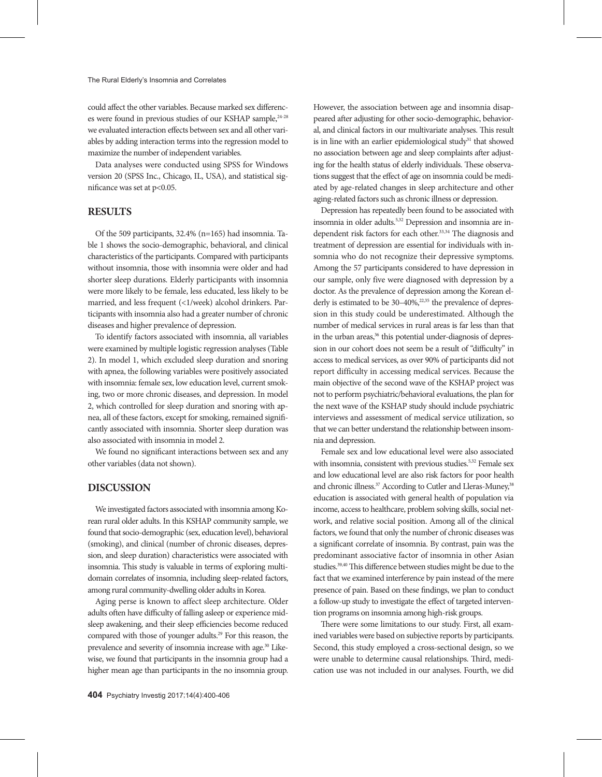could affect the other variables. Because marked sex differences were found in previous studies of our KSHAP sample,  $24-28$ we evaluated interaction effects between sex and all other variables by adding interaction terms into the regression model to maximize the number of independent variables.

Data analyses were conducted using SPSS for Windows version 20 (SPSS Inc., Chicago, IL, USA), and statistical significance was set at p<0.05.

## **RESULTS**

Of the 509 participants, 32.4% (n=165) had insomnia. Table 1 shows the socio-demographic, behavioral, and clinical characteristics of the participants. Compared with participants without insomnia, those with insomnia were older and had shorter sleep durations. Elderly participants with insomnia were more likely to be female, less educated, less likely to be married, and less frequent (<1/week) alcohol drinkers. Participants with insomnia also had a greater number of chronic diseases and higher prevalence of depression.

To identify factors associated with insomnia, all variables were examined by multiple logistic regression analyses (Table 2). In model 1, which excluded sleep duration and snoring with apnea, the following variables were positively associated with insomnia: female sex, low education level, current smoking, two or more chronic diseases, and depression. In model 2, which controlled for sleep duration and snoring with apnea, all of these factors, except for smoking, remained significantly associated with insomnia. Shorter sleep duration was also associated with insomnia in model 2.

We found no significant interactions between sex and any other variables (data not shown).

## **DISCUSSION**

We investigated factors associated with insomnia among Korean rural older adults. In this KSHAP community sample, we found that socio-demographic (sex, education level), behavioral (smoking), and clinical (number of chronic diseases, depression, and sleep duration) characteristics were associated with insomnia. This study is valuable in terms of exploring multidomain correlates of insomnia, including sleep-related factors, among rural community-dwelling older adults in Korea.

Aging perse is known to affect sleep architecture. Older adults often have difficulty of falling asleep or experience midsleep awakening, and their sleep efficiencies become reduced compared with those of younger adults.29 For this reason, the prevalence and severity of insomnia increase with age.<sup>30</sup> Likewise, we found that participants in the insomnia group had a higher mean age than participants in the no insomnia group. However, the association between age and insomnia disappeared after adjusting for other socio-demographic, behavioral, and clinical factors in our multivariate analyses. This result is in line with an earlier epidemiological study<sup>31</sup> that showed no association between age and sleep complaints after adjusting for the health status of elderly individuals. These observations suggest that the effect of age on insomnia could be mediated by age-related changes in sleep architecture and other aging-related factors such as chronic illness or depression.

Depression has repeatedly been found to be associated with insomnia in older adults.5,32 Depression and insomnia are independent risk factors for each other.<sup>33,34</sup> The diagnosis and treatment of depression are essential for individuals with insomnia who do not recognize their depressive symptoms. Among the 57 participants considered to have depression in our sample, only five were diagnosed with depression by a doctor. As the prevalence of depression among the Korean elderly is estimated to be  $30-40\%$ ,  $22,35$  the prevalence of depression in this study could be underestimated. Although the number of medical services in rural areas is far less than that in the urban areas,<sup>36</sup> this potential under-diagnosis of depression in our cohort does not seem be a result of "difficulty" in access to medical services, as over 90% of participants did not report difficulty in accessing medical services. Because the main objective of the second wave of the KSHAP project was not to perform psychiatric/behavioral evaluations, the plan for the next wave of the KSHAP study should include psychiatric interviews and assessment of medical service utilization, so that we can better understand the relationship between insomnia and depression.

Female sex and low educational level were also associated with insomnia, consistent with previous studies.<sup>5,32</sup> Female sex and low educational level are also risk factors for poor health and chronic illness.<sup>37</sup> According to Cutler and Lleras-Muney,<sup>38</sup> education is associated with general health of population via income, access to healthcare, problem solving skills, social network, and relative social position. Among all of the clinical factors, we found that only the number of chronic diseases was a significant correlate of insomnia. By contrast, pain was the predominant associative factor of insomnia in other Asian studies.39,40 This difference between studies might be due to the fact that we examined interference by pain instead of the mere presence of pain. Based on these findings, we plan to conduct a follow-up study to investigate the effect of targeted intervention programs on insomnia among high-risk groups.

There were some limitations to our study. First, all examined variables were based on subjective reports by participants. Second, this study employed a cross-sectional design, so we were unable to determine causal relationships. Third, medication use was not included in our analyses. Fourth, we did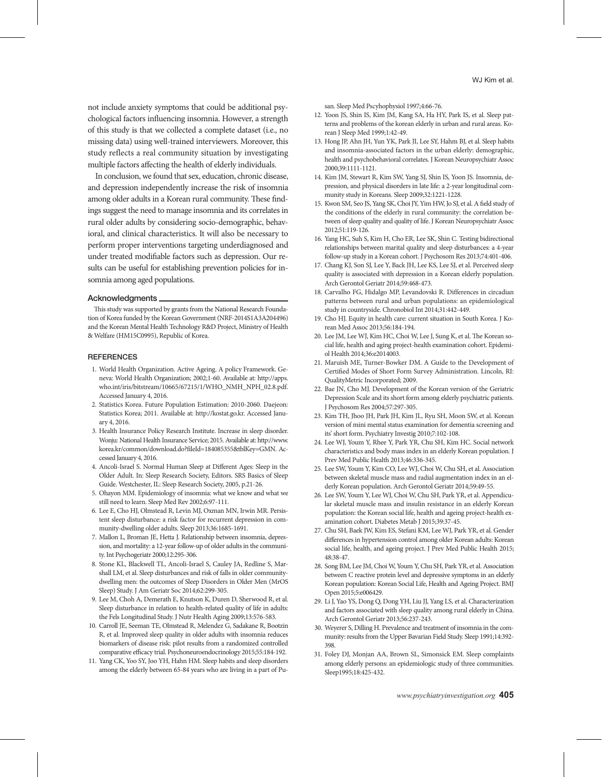not include anxiety symptoms that could be additional psychological factors influencing insomnia. However, a strength of this study is that we collected a complete dataset (i.e., no missing data) using well-trained interviewers. Moreover, this study reflects a real community situation by investigating multiple factors affecting the health of elderly individuals.

In conclusion, we found that sex, education, chronic disease, and depression independently increase the risk of insomnia among older adults in a Korean rural community. These findings suggest the need to manage insomnia and its correlates in rural older adults by considering socio-demographic, behavioral, and clinical characteristics. It will also be necessary to perform proper interventions targeting underdiagnosed and under treated modifiable factors such as depression. Our results can be useful for establishing prevention policies for insomnia among aged populations.

#### Acknowledgments

This study was supported by grants from the National Research Foundation of Korea funded by the Korean Government (NRF-2014S1A3A204496) and the Korean Mental Health Technology R&D Project, Ministry of Health & Welfare (HM15C0995), Republic of Korea.

#### **REFERENCES**

- 1. World Health Organization. Active Ageing. A policy Framework. Geneva: World Health Organization; 2002;1-60. Available at: http://apps. who.int/iris/bitstream/10665/67215/1/WHO\_NMH\_NPH\_02.8.pdf. Accessed January 4, 2016.
- 2. Statistics Korea. Future Population Estimation: 2010-2060. Daejeon: Statistics Korea; 2011. Available at: http://kostat.go.kr. Accessed January 4, 2016.
- 3. Health Insurance Policy Research Institute. Increase in sleep disorder. Wonju: National Health Insurance Service; 2015. Available at: http://www. korea.kr/common/download.do?fileId=184085355&tblKey=GMN. Accessed January 4, 2016.
- 4. Ancoli-Israel S. Normal Human Sleep at Different Ages: Sleep in the Older Adult. In: Sleep Research Society, Editors. SRS Basics of Sleep Guide. Westchester, IL: Sleep Research Society, 2005, p.21-26.
- 5. Ohayon MM. Epidemiology of insomnia: what we know and what we still need to learn. Sleep Med Rev 2002;6:97-111.
- 6. Lee E, Cho HJ, Olmstead R, Levin MJ, Oxman MN, Irwin MR. Persistent sleep disturbance: a risk factor for recurrent depression in community-dwelling older adults. Sleep 2013;36:1685-1691.
- 7. Mallon L, Broman JE, Hetta J. Relationship between insomnia, depression, and mortality: a 12-year follow-up of older adults in the community. Int Psychogeriatr 2000;12:295-306.
- 8. Stone KL, Blackwell TL, Ancoli-Israel S, Cauley JA, Redline S, Marshall LM, et al. Sleep disturbances and risk of falls in older communitydwelling men: the outcomes of Sleep Disorders in Older Men (MrOS Sleep) Study. J Am Geriatr Soc 2014;62:299-305.
- 9. Lee M, Choh A, Demerath E, Knutson K, Duren D, Sherwood R, et al. Sleep disturbance in relation to health-related quality of life in adults: the Fels Longitudinal Study. J Nutr Health Aging 2009;13:576-583.
- 10. Carroll JE, Seeman TE, Olmstead R, Melendez G, Sadakane R, Bootzin R, et al. Improved sleep quality in older adults with insomnia reduces biomarkers of disease risk: pilot results from a randomized controlled comparative efficacy trial. Psychoneuroendocrinology 2015;55:184-192.
- 11. Yang CK, Yoo SY, Joo YH, Hahn HM. Sleep habits and sleep disorders among the elderly between 65-84 years who are living in a part of Pu-

san. Sleep Med Pscyhophysiol 1997;4:66-76.

- 12. Yoon JS, Shin IS, Kim JM, Kang SA, Ha HY, Park IS, et al. Sleep patterns and problems of the korean elderly in urban and rural areas. Korean J Sleep Med 1999;1:42-49.
- 13. Hong JP, Ahn JH, Yun YK, Park JI, Lee SY, Hahm BJ, et al. Sleep habits and insomnia-associated factors in the urban elderly: demographic, health and psychobehavioral correlates. J Korean Neuropsychiatr Assoc 2000;39:1111-1121.
- 14. Kim JM, Stewart R, Kim SW, Yang SJ, Shin IS, Yoon JS. Insomnia, depression, and physical disorders in late life: a 2-year longitudinal community study in Koreans. Sleep 2009;32:1221-1228.
- 15. Kwon SM, Seo JS, Yang SK, Choi JY, Yim HW, Jo SJ, et al. A field study of the conditions of the elderly in rural community: the correlation between of sleep quality and quality of life. J Korean Neuropsychiatr Assoc 2012;51:119-126.
- 16. Yang HC, Suh S, Kim H, Cho ER, Lee SK, Shin C. Testing bidirectional relationships between marital quality and sleep disturbances: a 4-year follow-up study in a Korean cohort. J Psychosom Res 2013;74:401-406.
- 17. Chang KJ, Son SJ, Lee Y, Back JH, Lee KS, Lee SJ, et al. Perceived sleep quality is associated with depression in a Korean elderly population. Arch Gerontol Geriatr 2014;59:468-473.
- 18. Carvalho FG, Hidalgo MP, Levandovski R. Differences in circadian patterns between rural and urban populations: an epidemiological study in countryside. Chronobiol Int 2014;31:442-449.
- 19. Cho HJ. Equity in health care: current situation in South Korea. J Korean Med Assoc 2013;56:184-194.
- 20. Lee JM, Lee WJ, Kim HC, Choi W, Lee J, Sung K, et al. The Korean social life, health and aging project-health examination cohort. Epidemiol Health 2014;36:e2014003.
- 21. Maruish ME, Turner-Bowker DM. A Guide to the Development of Certified Modes of Short Form Survey Administration. Lincoln, RI: QualityMetric Incorporated; 2009.
- 22. Bae JN, Cho MJ. Development of the Korean version of the Geriatric Depression Scale and its short form among elderly psychiatric patients. J Psychosom Res 2004;57:297-305.
- 23. Kim TH, Jhoo JH, Park JH, Kim JL, Ryu SH, Moon SW, et al. Korean version of mini mental status examination for dementia screening and its' short form. Psychiatry Investig 2010;7:102-108.
- 24. Lee WJ, Youm Y, Rhee Y, Park YR, Chu SH, Kim HC. Social network characteristics and body mass index in an elderly Korean population. J Prev Med Public Health 2013;46:336-345.
- 25. Lee SW, Youm Y, Kim CO, Lee WJ, Choi W, Chu SH, et al. Association between skeletal muscle mass and radial augmentation index in an elderly Korean population. Arch Gerontol Geriatr 2014;59:49-55.
- 26. Lee SW, Youm Y, Lee WJ, Choi W, Chu SH, Park YR, et al. Appendicular skeletal muscle mass and insulin resistance in an elderly Korean population: the Korean social life, health and ageing project-health examination cohort. Diabetes Metab J 2015;39:37-45.
- 27. Chu SH, Baek JW, Kim ES, Stefani KM, Lee WJ, Park YR, et al. Gender differences in hypertension control among older Korean adults: Korean social life, health, and ageing project. J Prev Med Public Health 2015; 48:38-47.
- 28. Song BM, Lee JM, Choi W, Youm Y, Chu SH, Park YR, et al. Association between C reactive protein level and depressive symptoms in an elderly Korean population: Korean Social Life, Health and Ageing Project. BMJ Open 2015;5:e006429.
- 29. Li J, Yao YS, Dong Q, Dong YH, Liu JJ, Yang LS, et al. Characterization and factors associated with sleep quality among rural elderly in China. Arch Gerontol Geriatr 2013;56:237-243.
- 30. Weyerer S, Dilling H. Prevalence and treatment of insomnia in the community: results from the Upper Bavarian Field Study. Sleep 1991;14:392- 398.
- 31. Foley DJ, Monjan AA, Brown SL, Simonsick EM. Sleep complaints among elderly persons: an epidemiologic study of three communities. Sleep1995;18:425-432.